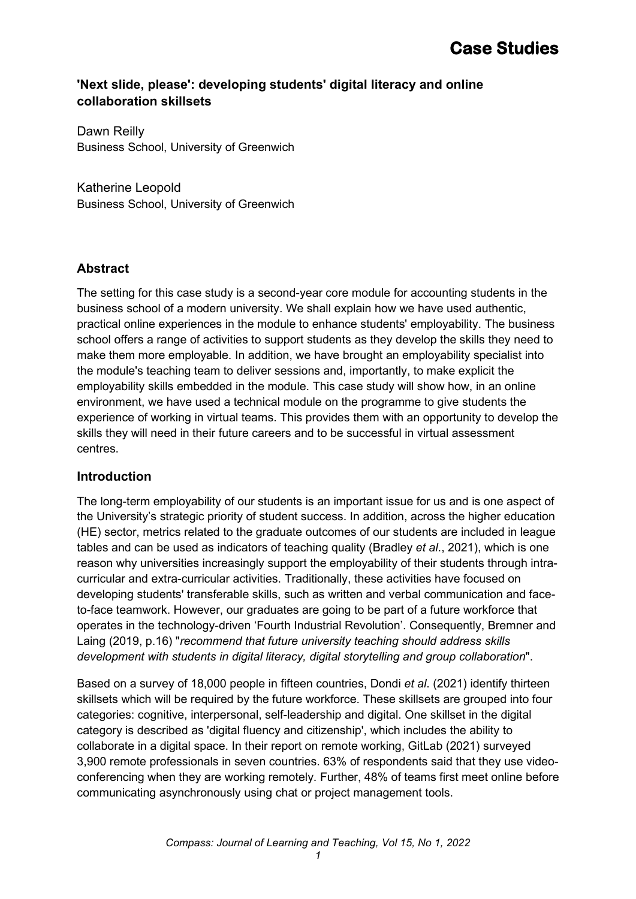## **'Next slide, please': developing students' digital literacy and online collaboration skillsets**

Dawn Reilly Business School, University of Greenwich

Katherine Leopold Business School, University of Greenwich

## **Abstract**

The setting for this case study is a second-year core module for accounting students in the business school of a modern university. We shall explain how we have used authentic, practical online experiences in the module to enhance students' employability. The business school offers a range of activities to support students as they develop the skills they need to make them more employable. In addition, we have brought an employability specialist into the module's teaching team to deliver sessions and, importantly, to make explicit the employability skills embedded in the module. This case study will show how, in an online environment, we have used a technical module on the programme to give students the experience of working in virtual teams. This provides them with an opportunity to develop the skills they will need in their future careers and to be successful in virtual assessment centres.

## **Introduction**

The long-term employability of our students is an important issue for us and is one aspect of the University's strategic priority of student success. In addition, across the higher education (HE) sector, metrics related to the graduate outcomes of our students are included in league tables and can be used as indicators of teaching quality (Bradley *et al*., 2021), which is one reason why universities increasingly support the employability of their students through intracurricular and extra-curricular activities. Traditionally, these activities have focused on developing students' transferable skills, such as written and verbal communication and faceto-face teamwork. However, our graduates are going to be part of a future workforce that operates in the technology-driven 'Fourth Industrial Revolution'. Consequently, Bremner and Laing (2019, p.16) "*recommend that future university teaching should address skills development with students in digital literacy, digital storytelling and group collaboration*".

Based on a survey of 18,000 people in fifteen countries, Dondi *et al*. (2021) identify thirteen skillsets which will be required by the future workforce. These skillsets are grouped into four categories: cognitive, interpersonal, self-leadership and digital. One skillset in the digital category is described as 'digital fluency and citizenship', which includes the ability to collaborate in a digital space. In their report on remote working, GitLab (2021) surveyed 3,900 remote professionals in seven countries. 63% of respondents said that they use videoconferencing when they are working remotely. Further, 48% of teams first meet online before communicating asynchronously using chat or project management tools.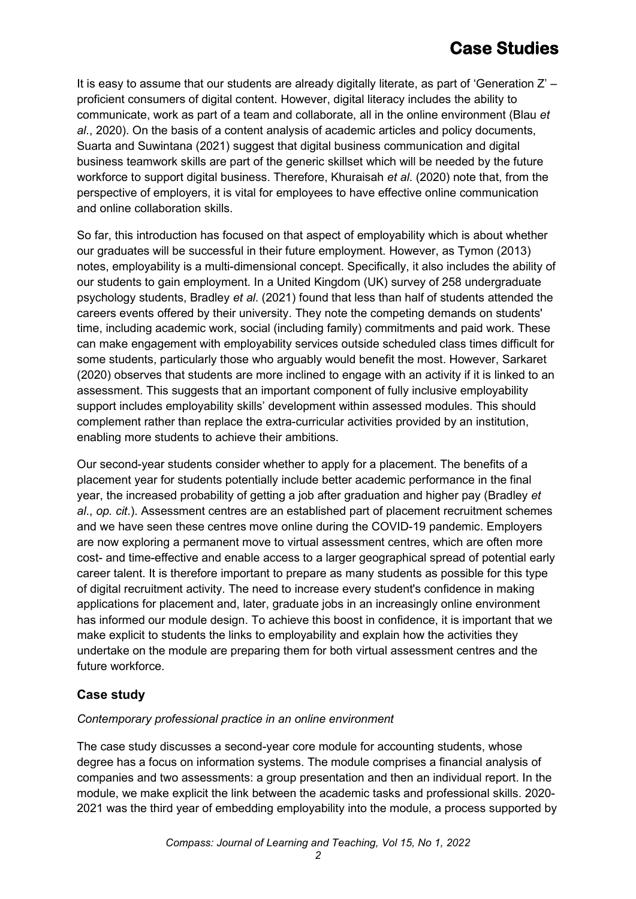# **Case Studies**

It is easy to assume that our students are already digitally literate, as part of 'Generation  $Z'$  – proficient consumers of digital content. However, digital literacy includes the ability to communicate, work as part of a team and collaborate, all in the online environment (Blau *et al*., 2020). On the basis of a content analysis of academic articles and policy documents, Suarta and Suwintana (2021) suggest that digital business communication and digital business teamwork skills are part of the generic skillset which will be needed by the future workforce to support digital business. Therefore, Khuraisah *et al*. (2020) note that, from the perspective of employers, it is vital for employees to have effective online communication and online collaboration skills.

So far, this introduction has focused on that aspect of employability which is about whether our graduates will be successful in their future employment. However, as Tymon (2013) notes, employability is a multi-dimensional concept. Specifically, it also includes the ability of our students to gain employment. In a United Kingdom (UK) survey of 258 undergraduate psychology students, Bradley *et al*. (2021) found that less than half of students attended the careers events offered by their university. They note the competing demands on students' time, including academic work, social (including family) commitments and paid work. These can make engagement with employability services outside scheduled class times difficult for some students, particularly those who arguably would benefit the most. However, Sarkaret (2020) observes that students are more inclined to engage with an activity if it is linked to an assessment. This suggests that an important component of fully inclusive employability support includes employability skills' development within assessed modules. This should complement rather than replace the extra-curricular activities provided by an institution, enabling more students to achieve their ambitions.

Our second-year students consider whether to apply for a placement. The benefits of a placement year for students potentially include better academic performance in the final year, the increased probability of getting a job after graduation and higher pay (Bradley *et al*., *op. cit*.). Assessment centres are an established part of placement recruitment schemes and we have seen these centres move online during the COVID-19 pandemic. Employers are now exploring a permanent move to virtual assessment centres, which are often more cost- and time-effective and enable access to a larger geographical spread of potential early career talent. It is therefore important to prepare as many students as possible for this type of digital recruitment activity. The need to increase every student's confidence in making applications for placement and, later, graduate jobs in an increasingly online environment has informed our module design. To achieve this boost in confidence, it is important that we make explicit to students the links to employability and explain how the activities they undertake on the module are preparing them for both virtual assessment centres and the future workforce.

## **Case study**

#### *Contemporary professional practice in an online environment*

The case study discusses a second-year core module for accounting students, whose degree has a focus on information systems. The module comprises a financial analysis of companies and two assessments: a group presentation and then an individual report. In the module, we make explicit the link between the academic tasks and professional skills. 2020- 2021 was the third year of embedding employability into the module, a process supported by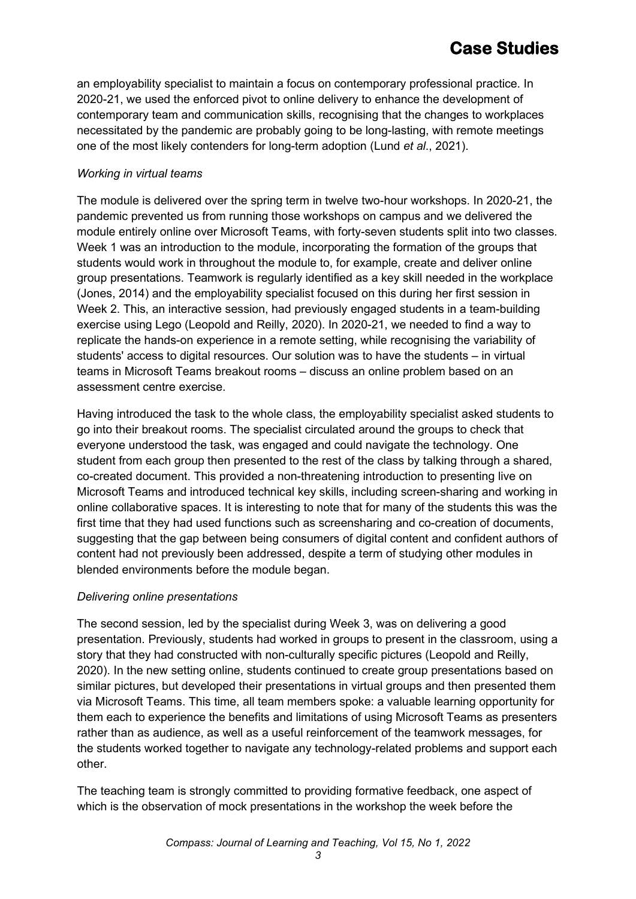an employability specialist to maintain a focus on contemporary professional practice. In 2020-21, we used the enforced pivot to online delivery to enhance the development of contemporary team and communication skills, recognising that the changes to workplaces necessitated by the pandemic are probably going to be long-lasting, with remote meetings one of the most likely contenders for long-term adoption (Lund *et al*., 2021).

#### *Working in virtual teams*

The module is delivered over the spring term in twelve two-hour workshops. In 2020-21, the pandemic prevented us from running those workshops on campus and we delivered the module entirely online over Microsoft Teams, with forty-seven students split into two classes. Week 1 was an introduction to the module, incorporating the formation of the groups that students would work in throughout the module to, for example, create and deliver online group presentations. Teamwork is regularly identified as a key skill needed in the workplace (Jones, 2014) and the employability specialist focused on this during her first session in Week 2. This, an interactive session, had previously engaged students in a team-building exercise using Lego (Leopold and Reilly, 2020). In 2020-21, we needed to find a way to replicate the hands-on experience in a remote setting, while recognising the variability of students' access to digital resources. Our solution was to have the students – in virtual teams in Microsoft Teams breakout rooms – discuss an online problem based on an assessment centre exercise.

Having introduced the task to the whole class, the employability specialist asked students to go into their breakout rooms. The specialist circulated around the groups to check that everyone understood the task, was engaged and could navigate the technology. One student from each group then presented to the rest of the class by talking through a shared, co-created document. This provided a non-threatening introduction to presenting live on Microsoft Teams and introduced technical key skills, including screen-sharing and working in online collaborative spaces. It is interesting to note that for many of the students this was the first time that they had used functions such as screensharing and co-creation of documents, suggesting that the gap between being consumers of digital content and confident authors of content had not previously been addressed, despite a term of studying other modules in blended environments before the module began.

#### *Delivering online presentations*

The second session, led by the specialist during Week 3, was on delivering a good presentation. Previously, students had worked in groups to present in the classroom, using a story that they had constructed with non-culturally specific pictures (Leopold and Reilly, 2020). In the new setting online, students continued to create group presentations based on similar pictures, but developed their presentations in virtual groups and then presented them via Microsoft Teams. This time, all team members spoke: a valuable learning opportunity for them each to experience the benefits and limitations of using Microsoft Teams as presenters rather than as audience, as well as a useful reinforcement of the teamwork messages, for the students worked together to navigate any technology-related problems and support each other.

The teaching team is strongly committed to providing formative feedback, one aspect of which is the observation of mock presentations in the workshop the week before the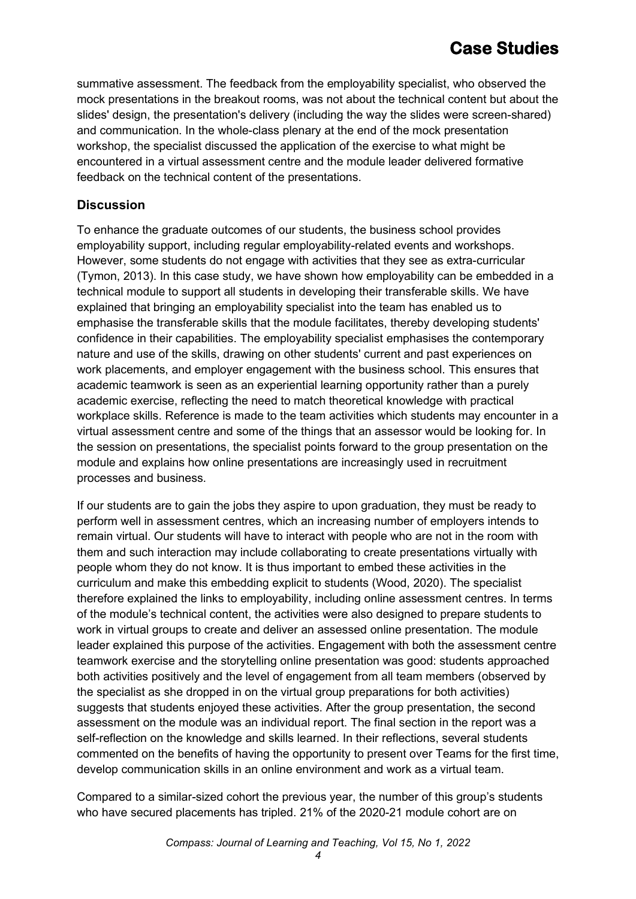# **Case Studies**

summative assessment. The feedback from the employability specialist, who observed the mock presentations in the breakout rooms, was not about the technical content but about the slides' design, the presentation's delivery (including the way the slides were screen-shared) and communication. In the whole-class plenary at the end of the mock presentation workshop, the specialist discussed the application of the exercise to what might be encountered in a virtual assessment centre and the module leader delivered formative feedback on the technical content of the presentations.

## **Discussion**

To enhance the graduate outcomes of our students, the business school provides employability support, including regular employability-related events and workshops. However, some students do not engage with activities that they see as extra-curricular (Tymon, 2013). In this case study, we have shown how employability can be embedded in a technical module to support all students in developing their transferable skills. We have explained that bringing an employability specialist into the team has enabled us to emphasise the transferable skills that the module facilitates, thereby developing students' confidence in their capabilities. The employability specialist emphasises the contemporary nature and use of the skills, drawing on other students' current and past experiences on work placements, and employer engagement with the business school. This ensures that academic teamwork is seen as an experiential learning opportunity rather than a purely academic exercise, reflecting the need to match theoretical knowledge with practical workplace skills. Reference is made to the team activities which students may encounter in a virtual assessment centre and some of the things that an assessor would be looking for. In the session on presentations, the specialist points forward to the group presentation on the module and explains how online presentations are increasingly used in recruitment processes and business.

If our students are to gain the jobs they aspire to upon graduation, they must be ready to perform well in assessment centres, which an increasing number of employers intends to remain virtual. Our students will have to interact with people who are not in the room with them and such interaction may include collaborating to create presentations virtually with people whom they do not know. It is thus important to embed these activities in the curriculum and make this embedding explicit to students (Wood, 2020). The specialist therefore explained the links to employability, including online assessment centres. In terms of the module's technical content, the activities were also designed to prepare students to work in virtual groups to create and deliver an assessed online presentation. The module leader explained this purpose of the activities. Engagement with both the assessment centre teamwork exercise and the storytelling online presentation was good: students approached both activities positively and the level of engagement from all team members (observed by the specialist as she dropped in on the virtual group preparations for both activities) suggests that students enjoyed these activities. After the group presentation, the second assessment on the module was an individual report. The final section in the report was a self-reflection on the knowledge and skills learned. In their reflections, several students commented on the benefits of having the opportunity to present over Teams for the first time, develop communication skills in an online environment and work as a virtual team.

Compared to a similar-sized cohort the previous year, the number of this group's students who have secured placements has tripled. 21% of the 2020-21 module cohort are on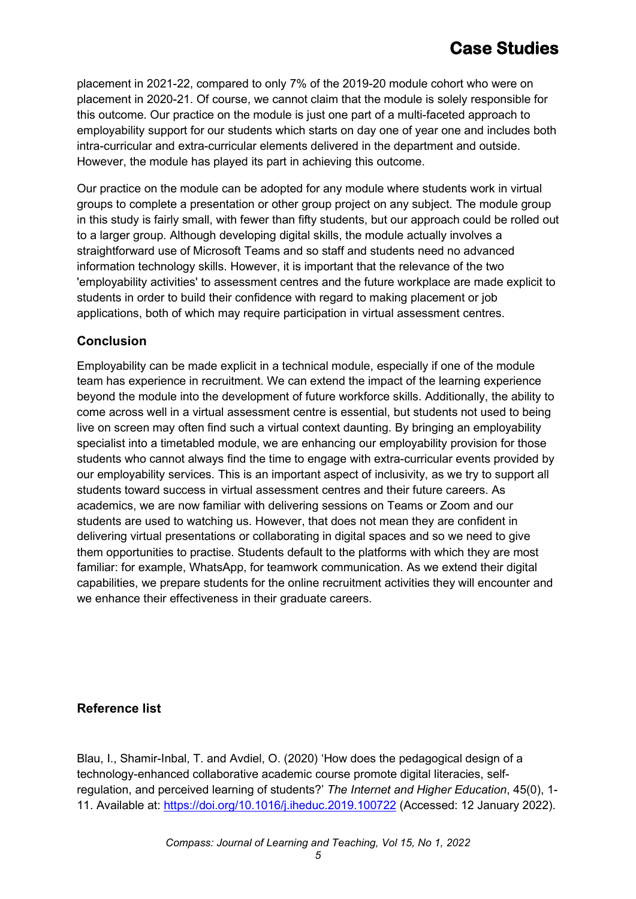placement in 2021-22, compared to only 7% of the 2019-20 module cohort who were on placement in 2020-21. Of course, we cannot claim that the module is solely responsible for this outcome. Our practice on the module is just one part of a multi-faceted approach to employability support for our students which starts on day one of year one and includes both intra-curricular and extra-curricular elements delivered in the department and outside. However, the module has played its part in achieving this outcome.

Our practice on the module can be adopted for any module where students work in virtual groups to complete a presentation or other group project on any subject. The module group in this study is fairly small, with fewer than fifty students, but our approach could be rolled out to a larger group. Although developing digital skills, the module actually involves a straightforward use of Microsoft Teams and so staff and students need no advanced information technology skills. However, it is important that the relevance of the two 'employability activities' to assessment centres and the future workplace are made explicit to students in order to build their confidence with regard to making placement or job applications, both of which may require participation in virtual assessment centres.

## **Conclusion**

Employability can be made explicit in a technical module, especially if one of the module team has experience in recruitment. We can extend the impact of the learning experience beyond the module into the development of future workforce skills. Additionally, the ability to come across well in a virtual assessment centre is essential, but students not used to being live on screen may often find such a virtual context daunting. By bringing an employability specialist into a timetabled module, we are enhancing our employability provision for those students who cannot always find the time to engage with extra-curricular events provided by our employability services. This is an important aspect of inclusivity, as we try to support all students toward success in virtual assessment centres and their future careers. As academics, we are now familiar with delivering sessions on Teams or Zoom and our students are used to watching us. However, that does not mean they are confident in delivering virtual presentations or collaborating in digital spaces and so we need to give them opportunities to practise. Students default to the platforms with which they are most familiar: for example, WhatsApp, for teamwork communication. As we extend their digital capabilities, we prepare students for the online recruitment activities they will encounter and we enhance their effectiveness in their graduate careers.

## **Reference list**

Blau, I., Shamir-Inbal, T. and Avdiel, O. (2020) 'How does the pedagogical design of a technology-enhanced collaborative academic course promote digital literacies, selfregulation, and perceived learning of students?' *The Internet and Higher Education*, 45(0), 1- 11. Available at:<https://doi.org/10.1016/j.iheduc.2019.100722> (Accessed: 12 January 2022).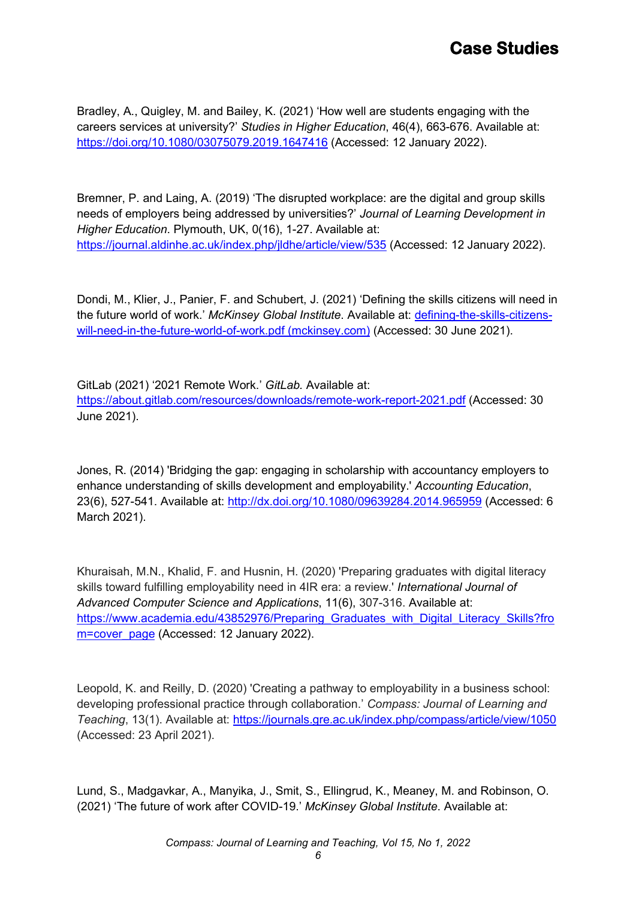Bradley, A., Quigley, M. and Bailey, K. (2021) 'How well are students engaging with the careers services at university?' *Studies in Higher Education*, 46(4), 663-676. Available at: <https://doi.org/10.1080/03075079.2019.1647416> (Accessed: 12 January 2022).

Bremner, P. and Laing, A. (2019) 'The disrupted workplace: are the digital and group skills needs of employers being addressed by universities?' *Journal of Learning Development in Higher Education*. Plymouth, UK, 0(16), 1-27. Available at: <https://journal.aldinhe.ac.uk/index.php/jldhe/article/view/535> (Accessed: 12 January 2022).

Dondi, M., Klier, J., Panier, F. and Schubert, J. (2021) 'Defining the skills citizens will need in the future world of work.' *McKinsey Global Institute*. Available at: [defining-the-skills-citizens](https://www.mckinsey.com/%7E/media/mckinsey/industries/public%20and%20social%20sector/our%20insights/defining%20the%20skills%20citizens%20will%20need%20in%20the%20future%20world%20of%20work/defining-the-skills-citizens-will-need-in-the-future-world-of-work.pdf?shouldIndex=false)[will-need-in-the-future-world-of-work.pdf \(mckinsey.com\)](https://www.mckinsey.com/%7E/media/mckinsey/industries/public%20and%20social%20sector/our%20insights/defining%20the%20skills%20citizens%20will%20need%20in%20the%20future%20world%20of%20work/defining-the-skills-citizens-will-need-in-the-future-world-of-work.pdf?shouldIndex=false) (Accessed: 30 June 2021).

GitLab (2021) '2021 Remote Work.' *GitLab.* Available at: <https://about.gitlab.com/resources/downloads/remote-work-report-2021.pdf> (Accessed: 30 June 2021).

Jones, R. (2014) 'Bridging the gap: engaging in scholarship with accountancy employers to enhance understanding of skills development and employability.' *Accounting Education*, 23(6), 527-541. Available at:<http://dx.doi.org/10.1080/09639284.2014.965959> (Accessed: 6 March 2021).

Khuraisah, M.N., Khalid, F. and Husnin, H. (2020) 'Preparing graduates with digital literacy skills toward fulfilling employability need in 4IR era: a review.' *International Journal of Advanced Computer Science and Applications*, 11(6), 307-316. Available at: [https://www.academia.edu/43852976/Preparing\\_Graduates\\_with\\_Digital\\_Literacy\\_Skills?fro](https://www.academia.edu/43852976/Preparing_Graduates_with_Digital_Literacy_Skills?from=cover_page) [m=cover\\_page](https://www.academia.edu/43852976/Preparing_Graduates_with_Digital_Literacy_Skills?from=cover_page) (Accessed: 12 January 2022).

Leopold, K. and Reilly, D. (2020) 'Creating a pathway to employability in a business school: developing professional practice through collaboration.' *Compass: Journal of Learning and Teaching*, 13(1). Available at:<https://journals.gre.ac.uk/index.php/compass/article/view/1050> (Accessed: 23 April 2021).

Lund, S., Madgavkar, A., Manyika, J., Smit, S., Ellingrud, K., Meaney, M. and Robinson, O. (2021) 'The future of work after COVID-19.' *McKinsey Global Institute*. Available at: